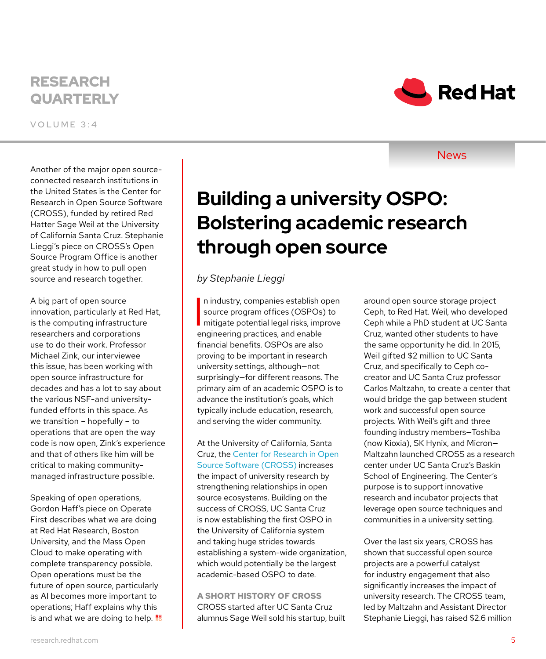## RESEARCH **QUARTERLY**

VOLUME 3:4

Another of the major open sourceconnected research institutions in the United States is the Center for Research in Open Source Software (CROSS), funded by retired Red Hatter Sage Weil at the University of California Santa Cruz. Stephanie Lieggi's piece on CROSS's Open Source Program Office is another great study in how to pull open source and research together.

A big part of open source innovation, particularly at Red Hat, is the computing infrastructure researchers and corporations use to do their work. Professor Michael Zink, our interviewee this issue, has been working with open source infrastructure for decades and has a lot to say about the various NSF-and universityfunded efforts in this space. As we transition – hopefully – to operations that are open the way code is now open, Zink's experience and that of others like him will be critical to making communitymanaged infrastructure possible.

Speaking of open operations, Gordon Haff's piece on Operate First describes what we are doing at Red Hat Research, Boston University, and the Mass Open Cloud to make operating with complete transparency possible. Open operations must be the future of open source, particularly as AI becomes more important to operations; Haff explains why this is and what we are doing to help. **No** 

# **Building a university OSPO: Bolstering academic research through open source**

*by Stephanie Lieggi*

In industry, companies establish open<br>source program offices (OSPOs) to<br>mitigate potential legal risks, improve n industry, companies establish open source program offices (OSPOs) to engineering practices, and enable financial benefits. OSPOs are also proving to be important in research university settings, although—not surprisingly—for different reasons. The primary aim of an academic OSPO is to advance the institution's goals, which typically include education, research, and serving the wider community.

At the University of California, Santa Cruz, the [Center for Research in Open](https://cross.ucsc.edu/)  [Source Software \(CROSS\)](https://cross.ucsc.edu/) increases the impact of university research by strengthening relationships in open source ecosystems. Building on the success of CROSS, UC Santa Cruz is now establishing the first OSPO in the University of California system and taking huge strides towards establishing a system-wide organization, which would potentially be the largest academic-based OSPO to date.

**A SHORT HISTORY OF CROSS** CROSS started after UC Santa Cruz alumnus Sage Weil sold his startup, built around open source storage project Ceph, to Red Hat. Weil, who developed Ceph while a PhD student at UC Santa Cruz, wanted other students to have the same opportunity he did. In 2015, Weil gifted \$2 million to UC Santa Cruz, and specifically to Ceph cocreator and UC Santa Cruz professor Carlos Maltzahn, to create a center that would bridge the gap between student work and successful open source projects. With Weil's gift and three founding industry members—Toshiba (now Kioxia), SK Hynix, and Micron— Maltzahn launched CROSS as a research center under UC Santa Cruz's Baskin School of Engineering. The Center's purpose is to support innovative research and incubator projects that leverage open source techniques and communities in a university setting.

Over the last six years, CROSS has shown that successful open source projects are a powerful catalyst for industry engagement that also significantly increases the impact of university research. The CROSS team, led by Maltzahn and Assistant Director Stephanie Lieggi, has raised \$2.6 million



**News**